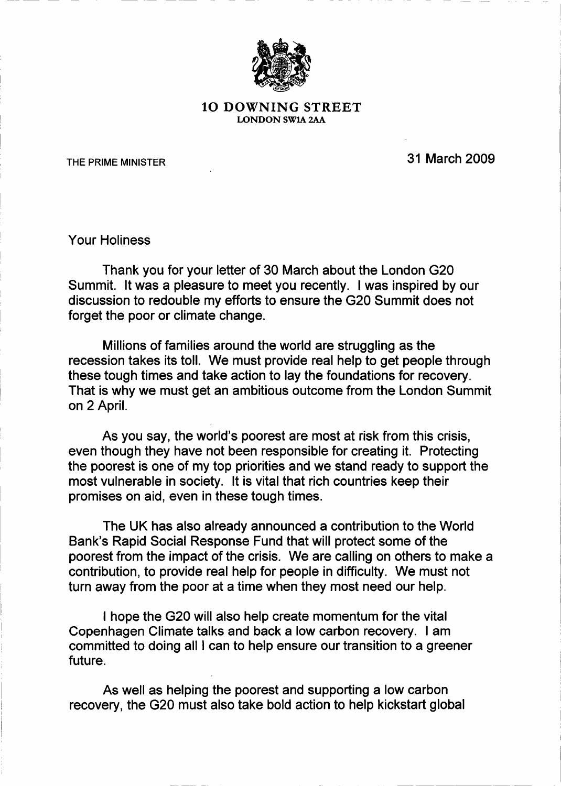

## 1O DOWNING STREET LONDON SW1A 2AA

THE PRIME MINISTER **THE PRIME MINISTER** 

Your Holiness

Thank you for your letter of 30 March about the London G20 Summit. It was a pleasure to meet you recently. I was inspired by our discussion to redouble my efforts to ensure the G20 Summit does not forget the poor or climate change.

Millions of families around the world are struggling as the recession takes its toll. We must provide real help to get people through these tough times and take action to lay the foundations for recovery. That is why we must get an ambitious outcome from the London Summit on 2 April.

As you say, the world's poorest are most at risk from this crisis, even though they have not been responsible for creating it. Protecting the poorest is one of my top priorities and we stand ready to support the most vulnerable in society. It is vital that rich countries keep their promises on aid, even in these tough times.

The UK has also already announced a contribution to the World Bank's Rapid Social Response Fund that will protect some of the poorest from the impact of the crisis. We are calling on others to make a contribution, to provide real help for people in difficulty. We must not turn away from the poor at a time when they most need our help.

I hope the G20 will also help create momentum for the vital Copenhagen Climate talks and back a low carbon recovery. I am committed to doing all I can to help ensure our transition to a greener future.

As well as helping the poorest and supporting a low carbon recovery, the G20 must also take bold action to help kickstart global